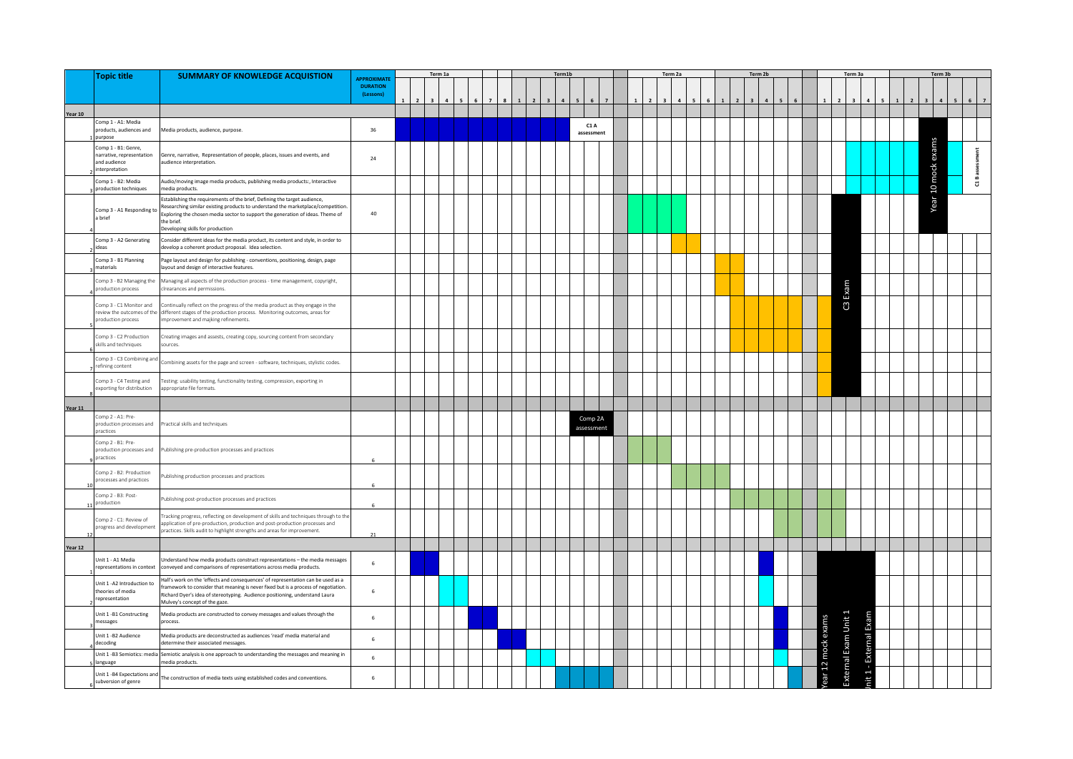|         | <b>Topic title</b>                                                                 | <b>SUMMARY OF KNOWLEDGE ACQUISTION</b>                                                                                                                                                                                                                                                           |                                                   |  | Term 1a |  |  | Term <sub>1</sub> h |                       |  | Term 2a |  |  | Term <sub>2h</sub> |  |                  |                      | Term <sub>3a</sub> |  | Term 3b            |            |
|---------|------------------------------------------------------------------------------------|--------------------------------------------------------------------------------------------------------------------------------------------------------------------------------------------------------------------------------------------------------------------------------------------------|---------------------------------------------------|--|---------|--|--|---------------------|-----------------------|--|---------|--|--|--------------------|--|------------------|----------------------|--------------------|--|--------------------|------------|
|         |                                                                                    |                                                                                                                                                                                                                                                                                                  | <b>APPROXIMAT</b><br><b>DURATION</b><br>(Lessons) |  |         |  |  |                     |                       |  |         |  |  |                    |  |                  |                      |                    |  |                    |            |
|         |                                                                                    |                                                                                                                                                                                                                                                                                                  |                                                   |  |         |  |  |                     |                       |  |         |  |  |                    |  |                  |                      |                    |  |                    |            |
| Year 10 |                                                                                    |                                                                                                                                                                                                                                                                                                  |                                                   |  |         |  |  |                     |                       |  |         |  |  |                    |  |                  |                      |                    |  |                    |            |
|         | Comp 1 - A1: Media<br>products, audiences and<br>ourpose                           | Media products, audience, purpose                                                                                                                                                                                                                                                                | 36                                                |  |         |  |  |                     | C1 A<br>assessment    |  |         |  |  |                    |  |                  |                      |                    |  |                    |            |
|         | Comp 1 - B1: Genre,<br>narrative, representation<br>and audience<br>interpretation | Genre, narrative, Representation of people, places, issues and events, and<br>audience interpretation.                                                                                                                                                                                           | 24                                                |  |         |  |  |                     |                       |  |         |  |  |                    |  |                  |                      |                    |  | Year 10 mock exams | assessment |
|         | Comp 1 - B2: Media<br>production techniques                                        | Audio/moving image media products, publishing media products:, Interactive<br>media products.                                                                                                                                                                                                    |                                                   |  |         |  |  |                     |                       |  |         |  |  |                    |  |                  |                      |                    |  |                    | $\ddot{a}$ |
|         | Comp 3 - A1 Responding to<br>a brief                                               | stablishing the requirements of the brief, Defining the target audience,<br>Researching similar existing products to understand the marketplace/competition.<br>Exploring the chosen media sector to support the generation of ideas. Theme of<br>the brief.<br>Developing skills for production | 40                                                |  |         |  |  |                     |                       |  |         |  |  |                    |  |                  |                      |                    |  |                    |            |
|         | Comp 3 - A2 Generating<br>deas                                                     | Consider different ideas for the media product, its content and style, in order to<br>levelop a coherent product proposal. Idea selection                                                                                                                                                        |                                                   |  |         |  |  |                     |                       |  |         |  |  |                    |  |                  |                      |                    |  |                    |            |
|         | Comp 3 - B1 Planning<br>naterials                                                  | Page layout and design for publishing - conventions, positioning, design, page<br>layout and design of interactive features.                                                                                                                                                                     |                                                   |  |         |  |  |                     |                       |  |         |  |  |                    |  |                  |                      |                    |  |                    |            |
|         | Comp 3 - B2 Managing the<br>production process                                     | Managing all aspects of the production process - time management, copyright,<br>cirearances and permissions.                                                                                                                                                                                     |                                                   |  |         |  |  |                     |                       |  |         |  |  |                    |  |                  | C3 Exam              |                    |  |                    |            |
|         | Comp 3 - C1 Monitor and<br>production process                                      | Continually reflect on the progress of the media product as they engage in the<br>review the outcomes of the different stages of the production process. Monitoring outcomes, areas for<br>improvement and majking refinements.                                                                  |                                                   |  |         |  |  |                     |                       |  |         |  |  |                    |  |                  |                      |                    |  |                    |            |
|         | Comp 3 - C2 Production<br>skills and techniques                                    | Creating images and assests, creating copy, sourcing content from secondary<br>ources.                                                                                                                                                                                                           |                                                   |  |         |  |  |                     |                       |  |         |  |  |                    |  |                  |                      |                    |  |                    |            |
|         | Comp 3 - C3 Combining and<br>efining content                                       | Combining assets for the page and screen - software, techniques, stylistic codes.                                                                                                                                                                                                                |                                                   |  |         |  |  |                     |                       |  |         |  |  |                    |  |                  |                      |                    |  |                    |            |
|         | omp 3 - C4 Testing and<br>exporting for distribution                               | esting: usability testing, functionality testing, compression, exporting in<br>appropriate file formats.                                                                                                                                                                                         |                                                   |  |         |  |  |                     |                       |  |         |  |  |                    |  |                  |                      |                    |  |                    |            |
| Year 11 |                                                                                    |                                                                                                                                                                                                                                                                                                  |                                                   |  |         |  |  |                     |                       |  |         |  |  |                    |  |                  |                      |                    |  |                    |            |
|         | Comp 2 - A1: Pre-<br>production processes and<br>practices                         | Practical skills and techniques                                                                                                                                                                                                                                                                  |                                                   |  |         |  |  |                     | Comp 2A<br>assessment |  |         |  |  |                    |  |                  |                      |                    |  |                    |            |
|         | Comp 2 - B1: Pre-<br>production processes and<br>practices                         | Publishing pre-production processes and practices                                                                                                                                                                                                                                                |                                                   |  |         |  |  |                     |                       |  |         |  |  |                    |  |                  |                      |                    |  |                    |            |
|         | Comp 2 - B2: Production<br>processes and practices                                 | Publishing production processes and practices                                                                                                                                                                                                                                                    |                                                   |  |         |  |  |                     |                       |  |         |  |  |                    |  |                  |                      |                    |  |                    |            |
| 11      | Comp 2 - B3: Post-<br>production                                                   | Publishing post-production processes and practices                                                                                                                                                                                                                                               | 6                                                 |  |         |  |  |                     |                       |  |         |  |  |                    |  |                  |                      |                    |  |                    |            |
|         | Comp 2 - C1: Review of<br>rogress and development                                  | Tracking progress, reflecting on development of skills and techniques through to the<br>application of pre-production, production and post-production processes and<br>practices. Skills audit to highlight strengths and areas for improvement.                                                 | 21                                                |  |         |  |  |                     |                       |  |         |  |  |                    |  |                  |                      |                    |  |                    |            |
| Year 12 |                                                                                    |                                                                                                                                                                                                                                                                                                  |                                                   |  |         |  |  |                     |                       |  |         |  |  |                    |  |                  |                      |                    |  |                    |            |
|         | Jnit 1 - A1 Media<br>representations in context                                    | Jnderstand how media products construct representations - the media messages<br>conveyed and comparisons of representations across media products.                                                                                                                                               | 6                                                 |  |         |  |  |                     |                       |  |         |  |  |                    |  |                  |                      |                    |  |                    |            |
|         | Unit 1 -A2 Introduction to<br>theories of media<br>representation                  | Hall's work on the 'effects and consequences' of representation can be used as a<br>ramework to consider that meaning is never fixed but is a process of negotiation.<br>Richard Dyer's idea of stereotyping. Audience positioning, understand Laura<br>Mulvey's concept of the gaze.            | 6                                                 |  |         |  |  |                     |                       |  |         |  |  |                    |  |                  |                      |                    |  |                    |            |
|         | Unit 1 -B1 Constructing<br>nessages                                                | Media products are constructed to convey messages and values through the<br>process.                                                                                                                                                                                                             | 6                                                 |  |         |  |  |                     |                       |  |         |  |  |                    |  |                  |                      |                    |  |                    |            |
|         | Unit 1 -B2 Audience<br>decoding                                                    | Media products are deconstructed as audiences 'read' media material and<br>determine their associated messages.                                                                                                                                                                                  | 6                                                 |  |         |  |  |                     |                       |  |         |  |  |                    |  | ar 12 mock exams | External Exam Unit 1 | External Exam      |  |                    |            |
|         | Unit 1 -B3 Semiotics: media<br>anguage                                             | Semiotic analysis is one approach to understanding the messages and meaning in<br>nedia products.                                                                                                                                                                                                | 6                                                 |  |         |  |  |                     |                       |  |         |  |  |                    |  |                  |                      | $\mathcal{A}$      |  |                    |            |
|         | Jnit 1 -B4 Expectations an<br>subversion of genre                                  | he construction of media texts using established codes and conventions.                                                                                                                                                                                                                          | 6                                                 |  |         |  |  |                     |                       |  |         |  |  |                    |  |                  |                      | F                  |  |                    |            |
|         |                                                                                    |                                                                                                                                                                                                                                                                                                  |                                                   |  |         |  |  |                     |                       |  |         |  |  |                    |  |                  |                      |                    |  |                    |            |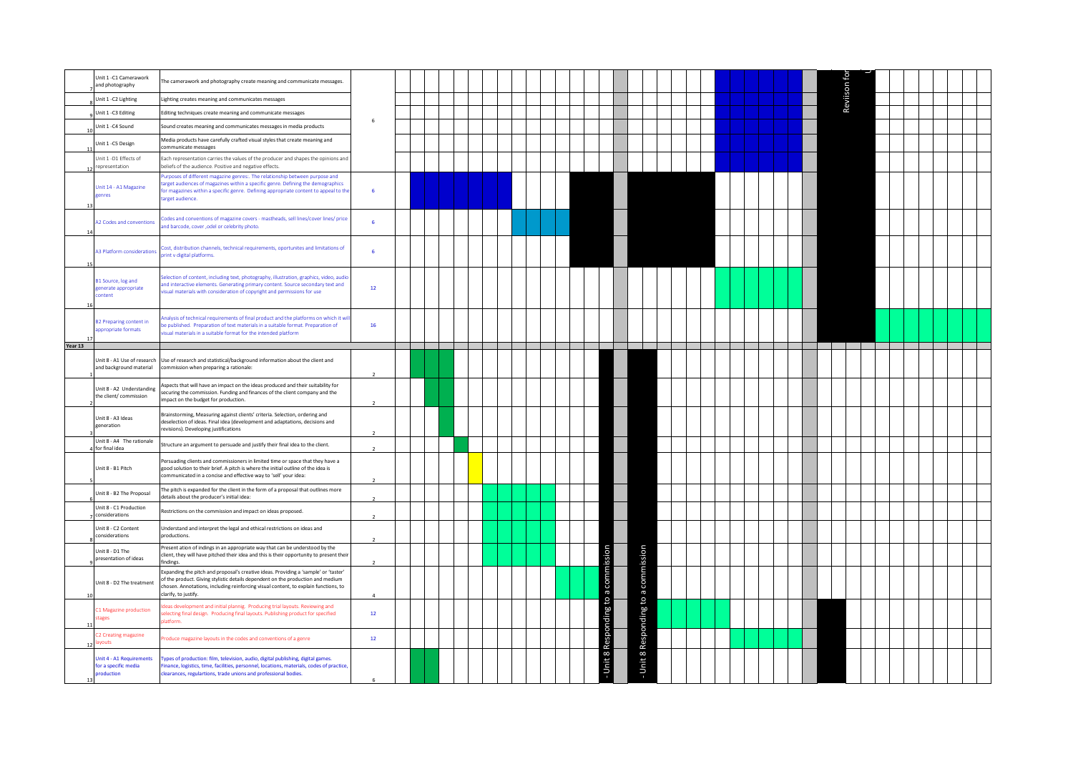|               | Unit 1 - C1 Camerawork<br>and photography                      | The camerawork and photography create meaning and communicate messages.                                                                                                                                                                                                               |                          |  |  |  |  |  |                         |                     |  |  |  |  | Reviison fo |  |  |  |  |
|---------------|----------------------------------------------------------------|---------------------------------------------------------------------------------------------------------------------------------------------------------------------------------------------------------------------------------------------------------------------------------------|--------------------------|--|--|--|--|--|-------------------------|---------------------|--|--|--|--|-------------|--|--|--|--|
|               | Unit 1 - C2 Lighting                                           | Lighting creates meaning and communicates messages                                                                                                                                                                                                                                    |                          |  |  |  |  |  |                         |                     |  |  |  |  |             |  |  |  |  |
|               | Unit 1 -C3 Editing                                             | Editing techniques create meaning and communicate messages                                                                                                                                                                                                                            |                          |  |  |  |  |  |                         |                     |  |  |  |  |             |  |  |  |  |
|               | Unit 1 -C4 Sound                                               | Sound creates meaning and communicates messages in media products                                                                                                                                                                                                                     | 6                        |  |  |  |  |  |                         |                     |  |  |  |  |             |  |  |  |  |
|               | Unit 1 -C5 Design                                              | Media products have carefully crafted visual styles that create meaning and<br>communicate messages                                                                                                                                                                                   |                          |  |  |  |  |  |                         |                     |  |  |  |  |             |  |  |  |  |
|               | Unit 1 -D1 Effects of<br>representation                        | Each representation carries the values of the producer and shapes the opinions and<br>beliefs of the audience. Positive and negative effects.                                                                                                                                         |                          |  |  |  |  |  |                         |                     |  |  |  |  |             |  |  |  |  |
| 13            | Unit 14 - A1 Magazine<br>enres                                 | urposes of different magazine genres:. The relationship between purpose and<br>arget audiences of magazines within a specific genre. Defining the demographics<br>or magazines within a specific genre. Defining appropriate content to appeal to the<br>arget audience.              | 6                        |  |  |  |  |  |                         |                     |  |  |  |  |             |  |  |  |  |
|               | A2 Codes and conventions                                       | codes and conventions of magazine covers - mastheads, sell lines/cover lines/ price<br>ind barcode, cover , odel or celebrity photo.                                                                                                                                                  | $6\phantom{a}$           |  |  |  |  |  |                         |                     |  |  |  |  |             |  |  |  |  |
|               | A3 Platform consideration:                                     | cost, distribution channels, technical requirements, oportunites and limitations of<br>print v digital platforms.                                                                                                                                                                     | 6                        |  |  |  |  |  |                         |                     |  |  |  |  |             |  |  |  |  |
|               | B1 Source, log and<br>generate appropriate<br>ontent:          | ielection of content, including text, photography, illustration, graphics, video, audio<br>and interactive elements. Generating primary content. Source secondary text and<br>visual materials with consideration of copyright and permissions for use                                | $12\,$                   |  |  |  |  |  |                         |                     |  |  |  |  |             |  |  |  |  |
|               | <b>B2 Preparing content in</b><br>ppropriate formats           | malysis of technical requirements of final product and the platforms on which it wi<br>e published. Preparation of text materials in a suitable format. Preparation of<br>isual materials in a suitable format for the intended platform                                              | 16                       |  |  |  |  |  |                         |                     |  |  |  |  |             |  |  |  |  |
| Year 13       |                                                                |                                                                                                                                                                                                                                                                                       |                          |  |  |  |  |  |                         |                     |  |  |  |  |             |  |  |  |  |
|               | Unit 8 - A1 Use of research<br>and background material         | Use of research and statistical/background information about the client and<br>ommission when preparing a rationale:                                                                                                                                                                  | $\mathcal{L}$            |  |  |  |  |  |                         |                     |  |  |  |  |             |  |  |  |  |
|               | Unit 8 - A2 Understanding<br>the client/ commission            | Aspects that will have an impact on the ideas produced and their suitability for<br>securing the commission. Funding and finances of the client company and the<br>impact on the budget for production.                                                                               | $\overline{\phantom{a}}$ |  |  |  |  |  |                         |                     |  |  |  |  |             |  |  |  |  |
|               | Unit 8 - A3 Ideas<br>generation                                | Brainstorming, Measuring against clients' criteria. Selection, ordering and<br>deselection of ideas. Final idea (development and adaptations, decisions and<br>revisions). Developing justifications                                                                                  |                          |  |  |  |  |  |                         |                     |  |  |  |  |             |  |  |  |  |
|               | Unit 8 - A4 The rationale<br>for final idea                    | Structure an argument to persuade and justify their final idea to the client.                                                                                                                                                                                                         | 2                        |  |  |  |  |  |                         |                     |  |  |  |  |             |  |  |  |  |
|               | Unit 8 - B1 Pitch                                              | Persuading clients and commissioners in limited time or space that they have a<br>good solution to their brief. A pitch is where the initial outline of the idea is<br>communicated in a concise and effective way to 'sell' your idea:                                               |                          |  |  |  |  |  |                         |                     |  |  |  |  |             |  |  |  |  |
|               | Unit 8 - B2 The Proposal                                       | The pitch is expanded for the client in the form of a proposal that outlines more<br>details about the producer's initial idea:                                                                                                                                                       | $\overline{2}$           |  |  |  |  |  |                         |                     |  |  |  |  |             |  |  |  |  |
|               | Unit 8 - C1 Production<br>considerations                       | Restrictions on the commission and impact on ideas proposed.                                                                                                                                                                                                                          |                          |  |  |  |  |  |                         |                     |  |  |  |  |             |  |  |  |  |
|               | Unit 8 - C2 Content<br>considerations                          | Understand and interpret the legal and ethical restrictions on ideas and<br>productions.                                                                                                                                                                                              |                          |  |  |  |  |  |                         |                     |  |  |  |  |             |  |  |  |  |
|               | Unit 8 - D1 The<br>presentation of ideas                       | Present ation of indings in an appropriate way that can be understood by the<br>client, they will have pitched their idea and this is their opportunity to present their<br>indings.                                                                                                  |                          |  |  |  |  |  |                         | ssion               |  |  |  |  |             |  |  |  |  |
|               | Unit 8 - D2 The treatment                                      | Expanding the pitch and proposal's creative ideas. Providing a 'sample' or 'taster'<br>of the product. Giving stylistic details dependent on the production and medium<br>chosen. Annotations, including reinforcing visual content, to explain functions, to<br>clarify, to justify. | $\overline{a}$           |  |  |  |  |  | a comr                  | to a comm           |  |  |  |  |             |  |  |  |  |
| $\rightarrow$ | 1 Magazine production<br>tages                                 | deas development and initial plannig. Producing trial layouts. Reviewing and<br>electing final design. Producing final layouts. Publishing product for specified<br>latform.                                                                                                          | 12                       |  |  |  |  |  | $\mathfrak{c}_1$<br>aui |                     |  |  |  |  |             |  |  |  |  |
|               | 2 Creating magazine<br>/outs                                   | roduce magazine layouts in the codes and conventions of a genre                                                                                                                                                                                                                       | $12\,$                   |  |  |  |  |  | Ğ                       |                     |  |  |  |  |             |  |  |  |  |
|               | Unit 4 - A1 Requirements<br>for a specific media<br>production | Types of production: film, television, audio, digital publishing, digital games.<br>Finance, logistics, time, facilities, personnel, locations, materials, codes of practice,<br>clearances, regulartions, trade unions and professional bodies.                                      | $\kappa$                 |  |  |  |  |  | Unit 8                  | - Unit 8 Responding |  |  |  |  |             |  |  |  |  |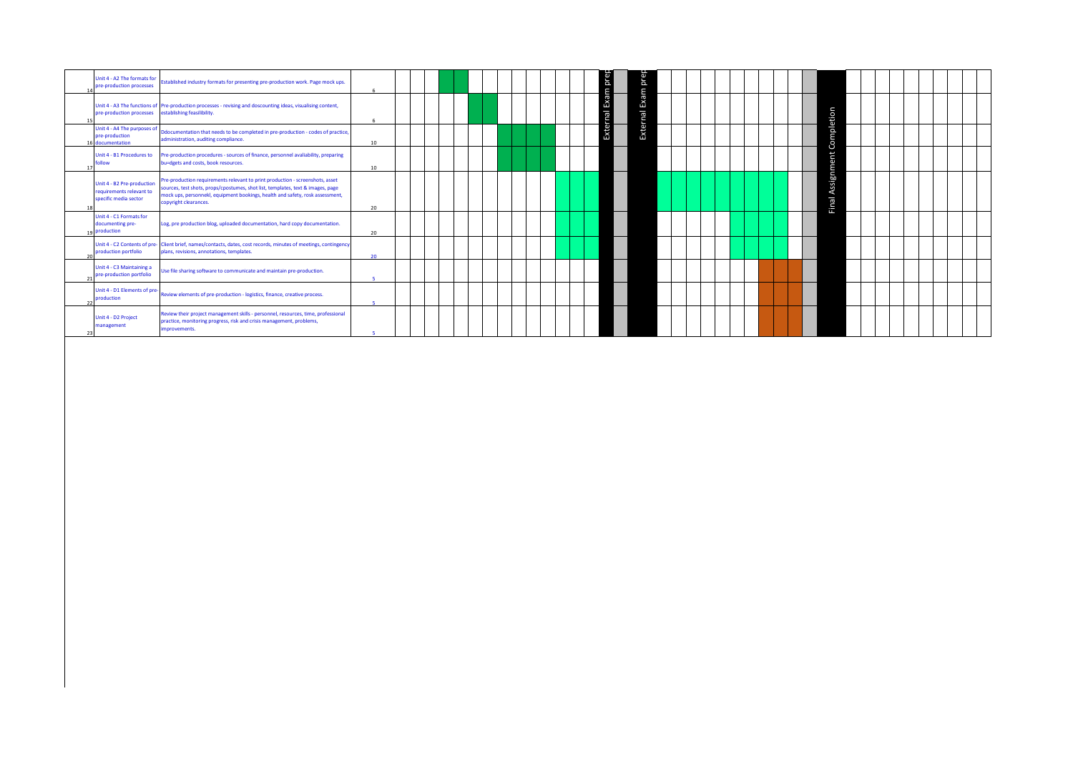|    | Jnit 4 - A2 The formats for<br>pre-production processes                         | Established industry formats for presenting pre-production work. Page mock ups.                                                                                                                                                                                            | -6           |  |  |  |  |  | Exam prep    | prep     |  |  |  |  |                     |  |  |  |  |
|----|---------------------------------------------------------------------------------|----------------------------------------------------------------------------------------------------------------------------------------------------------------------------------------------------------------------------------------------------------------------------|--------------|--|--|--|--|--|--------------|----------|--|--|--|--|---------------------|--|--|--|--|
| 15 | pre-production processes                                                        | Unit 4 - A3 The functions of Pre-production processes - revising and doscounting ideas, visualising content,<br>establishing feasilibility.                                                                                                                                | 6            |  |  |  |  |  | nal          | Exam     |  |  |  |  |                     |  |  |  |  |
|    | Unit 4 - A4 The purposes of<br>pre-production<br>documentation                  | Ddocumentation that needs to be completed in pre-production - codes of practice,<br>administration, auditing compliance.                                                                                                                                                   | 10           |  |  |  |  |  | <b>Exter</b> | External |  |  |  |  | Completion          |  |  |  |  |
| 17 | Unit 4 - B1 Procedures to<br>ollow                                              | Pre-production procedures - sources of finance, personnel avaliability, preparing<br>bu=dgets and costs, book resources.                                                                                                                                                   | 10           |  |  |  |  |  |              |          |  |  |  |  |                     |  |  |  |  |
| 18 | Unit 4 - B2 Pre-production<br>requirements relevant to<br>specific media sector | Pre-production requirements relevant to print production - screenshots, asset<br>sources, test shots, props/cpostumes, shot list, templates, text & images, page<br>mock ups, personnekl, equipment bookings, health and safety, rosk assessment,<br>copyright clearances. | 20           |  |  |  |  |  |              |          |  |  |  |  | Assignment<br>Final |  |  |  |  |
|    | Jnit 4 - C1 Formats for<br>documenting pre-<br>19 production                    | Log, pre production blog, uploaded documentation, hard copy documentation.                                                                                                                                                                                                 | 20           |  |  |  |  |  |              |          |  |  |  |  |                     |  |  |  |  |
|    | production portfolio                                                            | Unit 4 - C2 Contents of pre- Client brief, names/contacts, dates, cost records, minutes of meetings, contingency<br>plans, revisions, annotations, templates.                                                                                                              | 20           |  |  |  |  |  |              |          |  |  |  |  |                     |  |  |  |  |
|    | Unit 4 - C3 Maintaining a<br>pre-production portfolio                           | Use file sharing software to communicate and maintain pre-production.                                                                                                                                                                                                      |              |  |  |  |  |  |              |          |  |  |  |  |                     |  |  |  |  |
| 22 | Unit 4 - D1 Elements of pre-<br>production                                      | Review elements of pre-production - logistics, finance, creative process.                                                                                                                                                                                                  | $\mathbf{R}$ |  |  |  |  |  |              |          |  |  |  |  |                     |  |  |  |  |
| 23 | Unit 4 - D2 Project<br>management                                               | Review their project management skills - personnel, resources, time, professional<br>practice, monitoring progress, risk and crisis management, problems,<br>improvements.                                                                                                 | c            |  |  |  |  |  |              |          |  |  |  |  |                     |  |  |  |  |